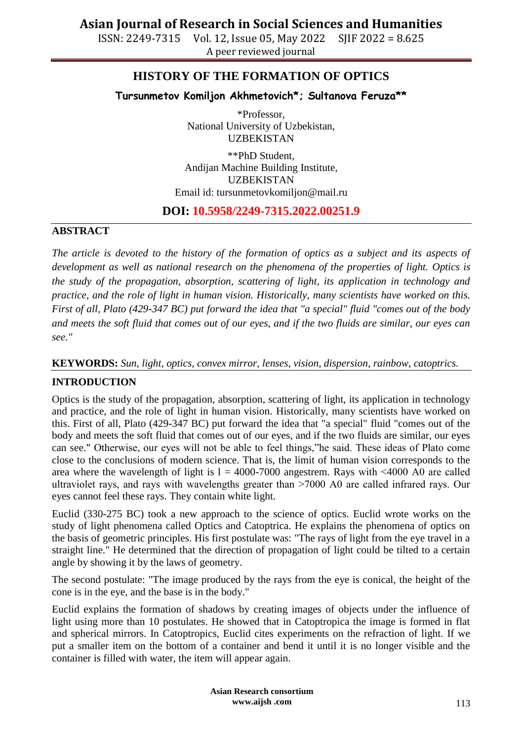ISSN: 2249-7315 Vol. 12, Issue 05, May 2022 SJIF 2022 = 8.625 A peer reviewed journal

## **HISTORY OF THE FORMATION OF OPTICS**

**Tursunmetov Komiljon Akhmetovich\*; Sultanova Feruza\*\***

\*Professor, National University of Uzbekistan, UZBEKISTAN

\*\*PhD Student, Andijan Machine Building Institute, UZBEKISTAN Email id: [tursunmetovkomiljon@mail.ru](mailto:tursunmetovkomiljon@mail.ru)

### **DOI: 10.5958/2249-7315.2022.00251.9**

### **ABSTRACT**

*The article is devoted to the history of the formation of optics as a subject and its aspects of development as well as national research on the phenomena of the properties of light. Optics is the study of the propagation, absorption, scattering of light, its application in technology and practice, and the role of light in human vision. Historically, many scientists have worked on this. First of all, Plato (429-347 BC) put forward the idea that "a special" fluid "comes out of the body and meets the soft fluid that comes out of our eyes, and if the two fluids are similar, our eyes can see."*

### **KEYWORDS:** *Sun, light, optics, convex mirror, lenses, vision, dispersion, rainbow, catoptrics.*

### **INTRODUCTION**

Optics is the study of the propagation, absorption, scattering of light, its application in technology and practice, and the role of light in human vision. Historically, many scientists have worked on this. First of all, Plato (429-347 BC) put forward the idea that "a special" fluid "comes out of the body and meets the soft fluid that comes out of our eyes, and if the two fluids are similar, our eyes can see." Otherwise, our eyes will not be able to feel things,"he said. These ideas of Plato come close to the conclusions of modern science. That is, the limit of human vision corresponds to the area where the wavelength of light is  $l = 4000-7000$  angestrem. Rays with  $\leq 4000$  A0 are called ultraviolet rays, and rays with wavelengths greater than >7000 A0 are called infrared rays. Our eyes cannot feel these rays. They contain white light.

Euclid (330-275 BC) took a new approach to the science of optics. Euclid wrote works on the study of light phenomena called Optics and Catoptrica. He explains the phenomena of optics on the basis of geometric principles. His first postulate was: "The rays of light from the eye travel in a straight line." He determined that the direction of propagation of light could be tilted to a certain angle by showing it by the laws of geometry.

The second postulate: "The image produced by the rays from the eye is conical, the height of the cone is in the eye, and the base is in the body."

Euclid explains the formation of shadows by creating images of objects under the influence of light using more than 10 postulates. He showed that in Catoptropica the image is formed in flat and spherical mirrors. In Catoptropics, Euclid cites experiments on the refraction of light. If we put a smaller item on the bottom of a container and bend it until it is no longer visible and the container is filled with water, the item will appear again.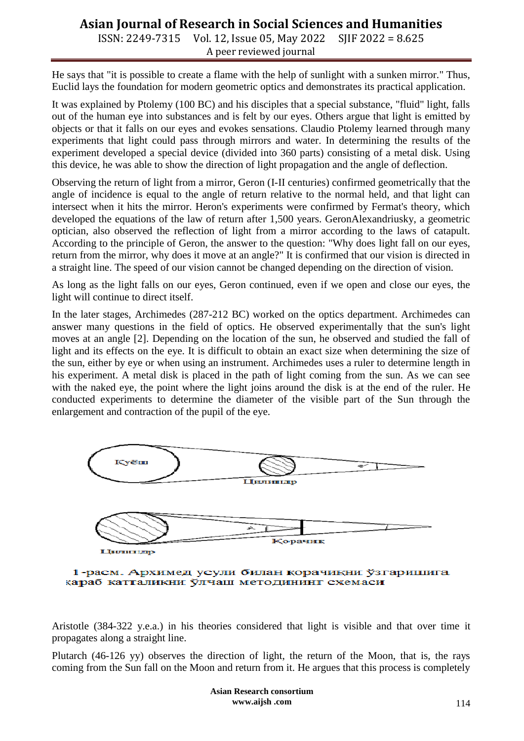ISSN: 2249-7315 Vol. 12, Issue 05, May 2022 SJIF 2022 = 8.625 A peer reviewed journal

He says that "it is possible to create a flame with the help of sunlight with a sunken mirror." Thus, Euclid lays the foundation for modern geometric optics and demonstrates its practical application.

It was explained by Ptolemy (100 BC) and his disciples that a special substance, "fluid" light, falls out of the human eye into substances and is felt by our eyes. Others argue that light is emitted by objects or that it falls on our eyes and evokes sensations. Claudio Ptolemy learned through many experiments that light could pass through mirrors and water. In determining the results of the experiment developed a special device (divided into 360 parts) consisting of a metal disk. Using this device, he was able to show the direction of light propagation and the angle of deflection.

Observing the return of light from a mirror, Geron (I-II centuries) confirmed geometrically that the angle of incidence is equal to the angle of return relative to the normal held, and that light can intersect when it hits the mirror. Heron's experiments were confirmed by Fermat's theory, which developed the equations of the law of return after 1,500 years. GeronAlexandriusky, a geometric optician, also observed the reflection of light from a mirror according to the laws of catapult. According to the principle of Geron, the answer to the question: "Why does light fall on our eyes, return from the mirror, why does it move at an angle?" It is confirmed that our vision is directed in a straight line. The speed of our vision cannot be changed depending on the direction of vision.

As long as the light falls on our eyes, Geron continued, even if we open and close our eyes, the light will continue to direct itself.

In the later stages, Archimedes (287-212 BC) worked on the optics department. Archimedes can answer many questions in the field of optics. He observed experimentally that the sun's light moves at an angle [2]. Depending on the location of the sun, he observed and studied the fall of light and its effects on the eye. It is difficult to obtain an exact size when determining the size of the sun, either by eye or when using an instrument. Archimedes uses a ruler to determine length in his experiment. A metal disk is placed in the path of light coming from the sun. As we can see with the naked eye, the point where the light joins around the disk is at the end of the ruler. He conducted experiments to determine the diameter of the visible part of the Sun through the enlargement and contraction of the pupil of the eye.



1-расм. Архимед усули билан корачикни ўзгаришига қараб катталикни ўлчаш методининг схемаси

Aristotle (384-322 y.e.a.) in his theories considered that light is visible and that over time it propagates along a straight line.

Plutarch (46-126 yy) observes the direction of light, the return of the Moon, that is, the rays coming from the Sun fall on the Moon and return from it. He argues that this process is completely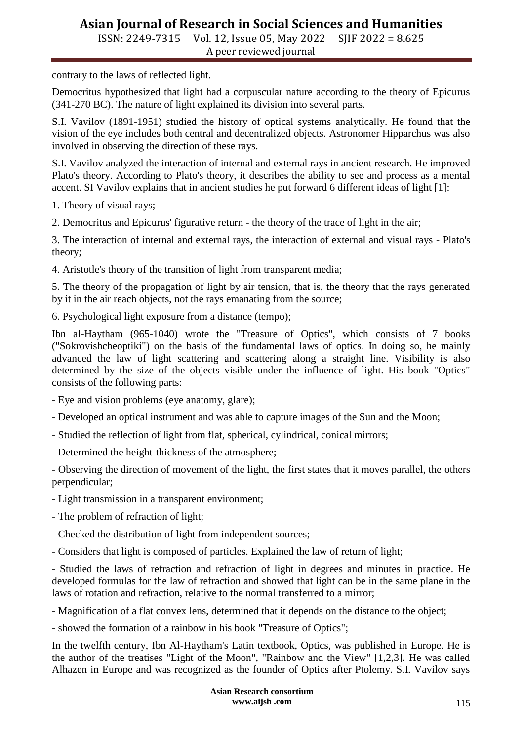ISSN: 2249-7315 Vol. 12, Issue 05, May 2022 SJIF 2022 = 8.625 A peer reviewed journal

contrary to the laws of reflected light.

Democritus hypothesized that light had a corpuscular nature according to the theory of Epicurus (341-270 BC). The nature of light explained its division into several parts.

S.I. Vavilov (1891-1951) studied the history of optical systems analytically. He found that the vision of the eye includes both central and decentralized objects. Astronomer Hipparchus was also involved in observing the direction of these rays.

S.I. Vavilov analyzed the interaction of internal and external rays in ancient research. He improved Plato's theory. According to Plato's theory, it describes the ability to see and process as a mental accent. SI Vavilov explains that in ancient studies he put forward 6 different ideas of light [1]:

1. Theory of visual rays;

2. Democritus and Epicurus' figurative return - the theory of the trace of light in the air;

3. The interaction of internal and external rays, the interaction of external and visual rays - Plato's theory;

4. Aristotle's theory of the transition of light from transparent media;

5. The theory of the propagation of light by air tension, that is, the theory that the rays generated by it in the air reach objects, not the rays emanating from the source;

6. Psychological light exposure from a distance (tempo);

Ibn al-Haytham (965-1040) wrote the "Treasure of Optics", which consists of 7 books ("Sokrovishcheoptiki") on the basis of the fundamental laws of optics. In doing so, he mainly advanced the law of light scattering and scattering along a straight line. Visibility is also determined by the size of the objects visible under the influence of light. His book "Optics" consists of the following parts:

- Eye and vision problems (eye anatomy, glare);

- Developed an optical instrument and was able to capture images of the Sun and the Moon;

- Studied the reflection of light from flat, spherical, cylindrical, conical mirrors;

- Determined the height-thickness of the atmosphere;

- Observing the direction of movement of the light, the first states that it moves parallel, the others perpendicular;

- Light transmission in a transparent environment;

- The problem of refraction of light;

- Checked the distribution of light from independent sources;

- Considers that light is composed of particles. Explained the law of return of light;

- Studied the laws of refraction and refraction of light in degrees and minutes in practice. He developed formulas for the law of refraction and showed that light can be in the same plane in the laws of rotation and refraction, relative to the normal transferred to a mirror;

- Magnification of a flat convex lens, determined that it depends on the distance to the object;

- showed the formation of a rainbow in his book "Treasure of Optics";

In the twelfth century, Ibn Al-Haytham's Latin textbook, Optics, was published in Europe. He is the author of the treatises "Light of the Moon", "Rainbow and the View" [1,2,3]. He was called Alhazen in Europe and was recognized as the founder of Optics after Ptolemy. S.I. Vavilov says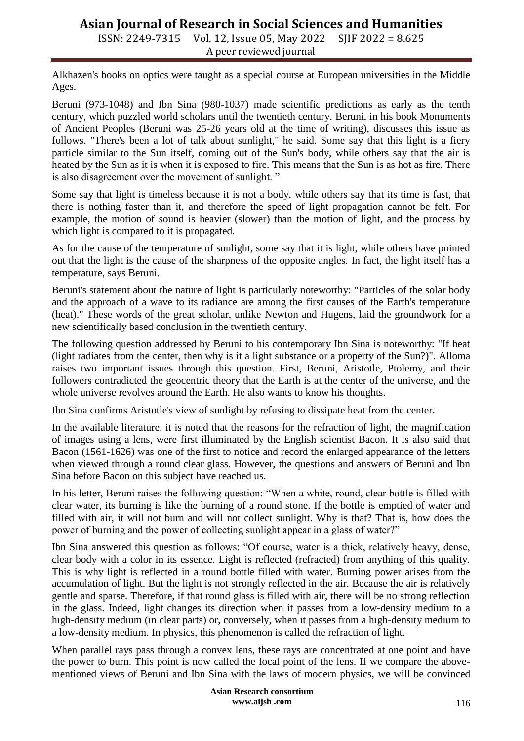ISSN: 2249-7315 Vol. 12, Issue 05, May 2022 SJIF 2022 = 8.625 A peer reviewed journal

Alkhazen's books on optics were taught as a special course at European universities in the Middle Ages.

Beruni (973-1048) and Ibn Sina (980-1037) made scientific predictions as early as the tenth century, which puzzled world scholars until the twentieth century. Beruni, in his book Monuments of Ancient Peoples (Beruni was 25-26 years old at the time of writing), discusses this issue as follows. "There's been a lot of talk about sunlight," he said. Some say that this light is a fiery particle similar to the Sun itself, coming out of the Sun's body, while others say that the air is heated by the Sun as it is when it is exposed to fire. This means that the Sun is as hot as fire. There is also disagreement over the movement of sunlight. "

Some say that light is timeless because it is not a body, while others say that its time is fast, that there is nothing faster than it, and therefore the speed of light propagation cannot be felt. For example, the motion of sound is heavier (slower) than the motion of light, and the process by which light is compared to it is propagated.

As for the cause of the temperature of sunlight, some say that it is light, while others have pointed out that the light is the cause of the sharpness of the opposite angles. In fact, the light itself has a temperature, says Beruni.

Beruni's statement about the nature of light is particularly noteworthy: "Particles of the solar body and the approach of a wave to its radiance are among the first causes of the Earth's temperature (heat)." These words of the great scholar, unlike Newton and Hugens, laid the groundwork for a new scientifically based conclusion in the twentieth century.

The following question addressed by Beruni to his contemporary Ibn Sina is noteworthy: "If heat (light radiates from the center, then why is it a light substance or a property of the Sun?)". Alloma raises two important issues through this question. First, Beruni, Aristotle, Ptolemy, and their followers contradicted the geocentric theory that the Earth is at the center of the universe, and the whole universe revolves around the Earth. He also wants to know his thoughts.

Ibn Sina confirms Aristotle's view of sunlight by refusing to dissipate heat from the center.

In the available literature, it is noted that the reasons for the refraction of light, the magnification of images using a lens, were first illuminated by the English scientist Bacon. It is also said that Bacon (1561-1626) was one of the first to notice and record the enlarged appearance of the letters when viewed through a round clear glass. However, the questions and answers of Beruni and Ibn Sina before Bacon on this subject have reached us.

In his letter, Beruni raises the following question: "When a white, round, clear bottle is filled with clear water, its burning is like the burning of a round stone. If the bottle is emptied of water and filled with air, it will not burn and will not collect sunlight. Why is that? That is, how does the power of burning and the power of collecting sunlight appear in a glass of water?"

Ibn Sina answered this question as follows: "Of course, water is a thick, relatively heavy, dense, clear body with a color in its essence. Light is reflected (refracted) from anything of this quality. This is why light is reflected in a round bottle filled with water. Burning power arises from the accumulation of light. But the light is not strongly reflected in the air. Because the air is relatively gentle and sparse. Therefore, if that round glass is filled with air, there will be no strong reflection in the glass. Indeed, light changes its direction when it passes from a low-density medium to a high-density medium (in clear parts) or, conversely, when it passes from a high-density medium to a low-density medium. In physics, this phenomenon is called the refraction of light.

When parallel rays pass through a convex lens, these rays are concentrated at one point and have the power to burn. This point is now called the focal point of the lens. If we compare the abovementioned views of Beruni and Ibn Sina with the laws of modern physics, we will be convinced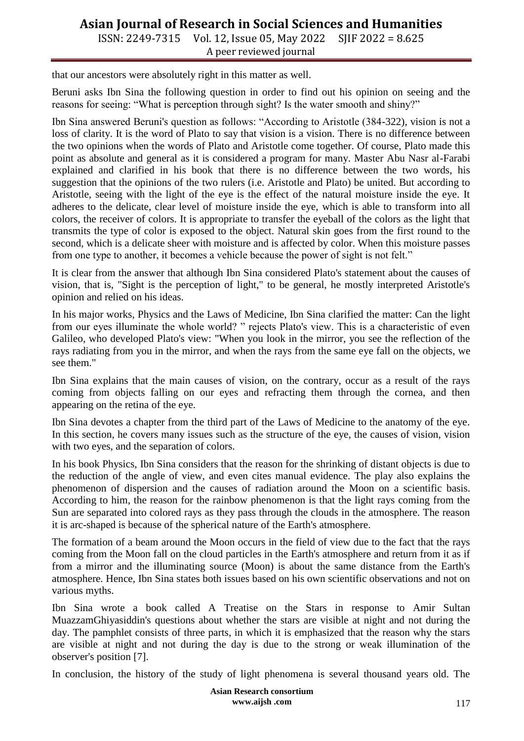ISSN: 2249-7315 Vol. 12, Issue 05, May 2022 SJIF 2022 = 8.625 A peer reviewed journal

that our ancestors were absolutely right in this matter as well.

Beruni asks Ibn Sina the following question in order to find out his opinion on seeing and the reasons for seeing: "What is perception through sight? Is the water smooth and shiny?"

Ibn Sina answered Beruni's question as follows: "According to Aristotle (384-322), vision is not a loss of clarity. It is the word of Plato to say that vision is a vision. There is no difference between the two opinions when the words of Plato and Aristotle come together. Of course, Plato made this point as absolute and general as it is considered a program for many. Master Abu Nasr al-Farabi explained and clarified in his book that there is no difference between the two words, his suggestion that the opinions of the two rulers (i.e. Aristotle and Plato) be united. But according to Aristotle, seeing with the light of the eye is the effect of the natural moisture inside the eye. It adheres to the delicate, clear level of moisture inside the eye, which is able to transform into all colors, the receiver of colors. It is appropriate to transfer the eyeball of the colors as the light that transmits the type of color is exposed to the object. Natural skin goes from the first round to the second, which is a delicate sheer with moisture and is affected by color. When this moisture passes from one type to another, it becomes a vehicle because the power of sight is not felt."

It is clear from the answer that although Ibn Sina considered Plato's statement about the causes of vision, that is, "Sight is the perception of light," to be general, he mostly interpreted Aristotle's opinion and relied on his ideas.

In his major works, Physics and the Laws of Medicine, Ibn Sina clarified the matter: Can the light from our eyes illuminate the whole world? " rejects Plato's view. This is a characteristic of even Galileo, who developed Plato's view: "When you look in the mirror, you see the reflection of the rays radiating from you in the mirror, and when the rays from the same eye fall on the objects, we see them."

Ibn Sina explains that the main causes of vision, on the contrary, occur as a result of the rays coming from objects falling on our eyes and refracting them through the cornea, and then appearing on the retina of the eye.

Ibn Sina devotes a chapter from the third part of the Laws of Medicine to the anatomy of the eye. In this section, he covers many issues such as the structure of the eye, the causes of vision, vision with two eyes, and the separation of colors.

In his book Physics, Ibn Sina considers that the reason for the shrinking of distant objects is due to the reduction of the angle of view, and even cites manual evidence. The play also explains the phenomenon of dispersion and the causes of radiation around the Moon on a scientific basis. According to him, the reason for the rainbow phenomenon is that the light rays coming from the Sun are separated into colored rays as they pass through the clouds in the atmosphere. The reason it is arc-shaped is because of the spherical nature of the Earth's atmosphere.

The formation of a beam around the Moon occurs in the field of view due to the fact that the rays coming from the Moon fall on the cloud particles in the Earth's atmosphere and return from it as if from a mirror and the illuminating source (Moon) is about the same distance from the Earth's atmosphere. Hence, Ibn Sina states both issues based on his own scientific observations and not on various myths.

Ibn Sina wrote a book called A Treatise on the Stars in response to Amir Sultan MuazzamGhiyasiddin's questions about whether the stars are visible at night and not during the day. The pamphlet consists of three parts, in which it is emphasized that the reason why the stars are visible at night and not during the day is due to the strong or weak illumination of the observer's position [7].

In conclusion, the history of the study of light phenomena is several thousand years old. The

**Asian Research consortium www.aijsh .com**